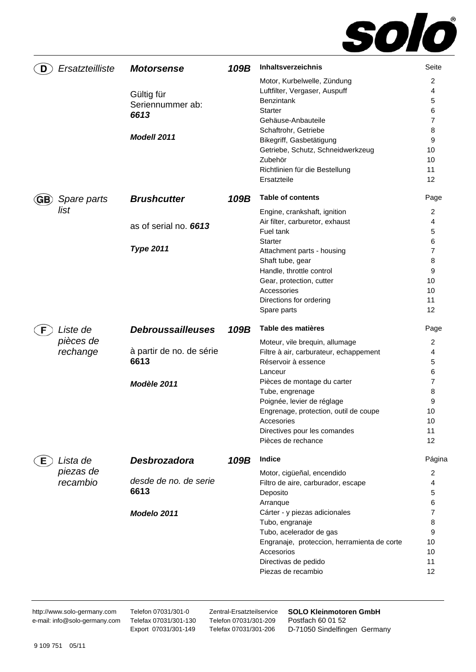

| D   | Ersatzteilliste       | <b>Motorsense</b>                                     | 109B | Inhaltsverzeichnis                                                                                                                                                                                                                                               | Seite                                                                |
|-----|-----------------------|-------------------------------------------------------|------|------------------------------------------------------------------------------------------------------------------------------------------------------------------------------------------------------------------------------------------------------------------|----------------------------------------------------------------------|
|     |                       | Gültig für<br>Seriennummer ab:<br>6613<br>Modell 2011 |      | Motor, Kurbelwelle, Zündung<br>Luftfilter, Vergaser, Auspuff<br>Benzintank<br>Starter<br>Gehäuse-Anbauteile<br>Schaftrohr, Getriebe<br>Bikegriff, Gasbetätigung<br>Getriebe, Schutz, Schneidwerkzeug<br>Zubehör<br>Richtlinien für die Bestellung<br>Ersatzteile | 2<br>4<br>5<br>6<br>$\overline{7}$<br>8<br>9<br>10<br>10<br>11<br>12 |
| GB) | Spare parts           | <b>Brushcutter</b>                                    | 109B | <b>Table of contents</b>                                                                                                                                                                                                                                         | Page                                                                 |
|     | list                  | as of serial no. 6613                                 |      | Engine, crankshaft, ignition<br>Air filter, carburetor, exhaust<br>Fuel tank<br>Starter                                                                                                                                                                          | 2<br>4<br>5<br>6                                                     |
|     |                       | <b>Type 2011</b>                                      |      | Attachment parts - housing<br>Shaft tube, gear<br>Handle, throttle control<br>Gear, protection, cutter<br>Accessories<br>Directions for ordering<br>Spare parts                                                                                                  | 7<br>8<br>9<br>10<br>10<br>11<br>12                                  |
|     |                       |                                                       |      |                                                                                                                                                                                                                                                                  |                                                                      |
|     | Liste de              | <b>Debroussailleuses</b>                              | 109B | Table des matières                                                                                                                                                                                                                                               | Page                                                                 |
|     | pièces de<br>rechange | à partir de no. de série<br>6613<br>Modèle 2011       |      | Moteur, vile brequin, allumage<br>Filtre à air, carburateur, echappement<br>Réservoir à essence<br>Lanceur<br>Pièces de montage du carter                                                                                                                        | 2<br>4<br>5<br>6<br>7                                                |
|     |                       |                                                       |      | Tube, engrenage<br>Poignée, levier de réglage<br>Engrenage, protection, outil de coupe<br>Accesories<br>Directives pour les comandes<br>Pièces de rechance                                                                                                       | 8<br>9<br>10<br>10<br>11<br>12                                       |
| Е.  | Lista de              | Desbrozadora                                          | 109B | Indice                                                                                                                                                                                                                                                           | Página                                                               |
|     | piezas de<br>recambio | desde de no. de serie<br>6613                         |      | Motor, cigüeñal, encendido<br>Filtro de aire, carburador, escape<br>Deposito<br>Arranque                                                                                                                                                                         | 2<br>4<br>5<br>6                                                     |

http://www.solo-germany.com e-mail: info@solo-germany.com Telefon 07031/301-0 Telefax 07031/301-130 Export 07031/301-149

Zentral-Ersatzteilservice Telefon 07031/301-209 Telefax 07031/301-206

**SOLO Kleinmotoren GmbH**  Postfach 60 01 52 D-71050 Sindelfingen Germany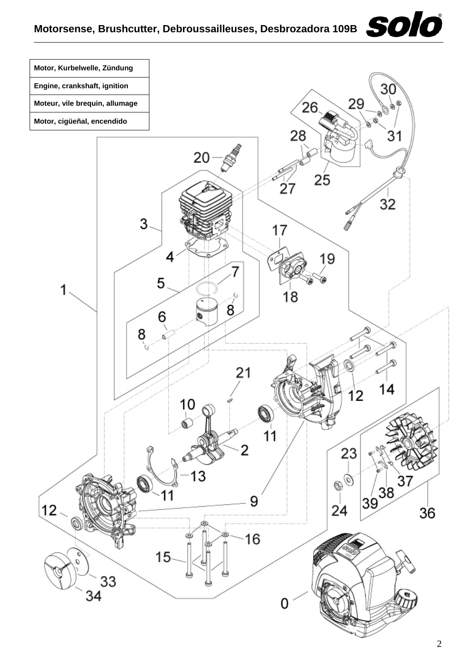## Motorsense, Brushcutter, Debroussailleuses, Desbrozadora 109B<br> **SOIO**

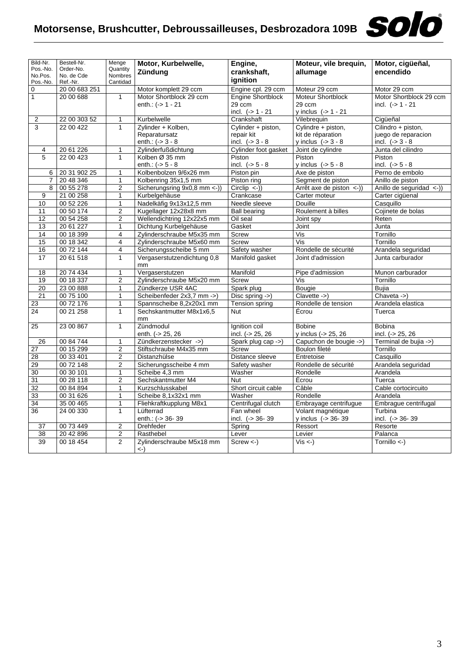

| Bild-Nr.            | Bestell-Nr.            | Menge                   | Motor, Kurbelwelle,               | Engine,                  | Moteur, vile brequin,                                     | Motor, cigüeñal,         |
|---------------------|------------------------|-------------------------|-----------------------------------|--------------------------|-----------------------------------------------------------|--------------------------|
| Pos.-No.            | Order-No.              | Quantity                | Zündung                           | crankshaft,              | allumage                                                  | encendido                |
| No.Pos.<br>Pos.-No. | No. de Cde<br>Ref.-Nr. | Nombres<br>Cantidad     |                                   | ignition                 |                                                           |                          |
| $\mathbf 0$         | 20 00 683 251          |                         | Motor komplett 29 ccm             | Engine cpl. 29 ccm       | Moteur 29 ccm                                             | Motor 29 ccm             |
| $\mathbf{1}$        | 20 00 688              | $\mathbf{1}$            | Motor Shortblock 29 ccm           | <b>Engine Shortblock</b> | <b>Moteur Shortblock</b>                                  | Motor Shortblock 29 ccm  |
|                     |                        |                         | enth.: $(-) 1 - 21$               | 29 ccm                   | 29 ccm                                                    | incl. $(-51 - 21)$       |
|                     |                        |                         |                                   | incl. $(-51 - 21)$       | y inclus $(-5 1 - 21$                                     |                          |
| 2                   | 22 00 303 52           | $\mathbf{1}$            | Kurbelwelle                       | Crankshaft               | Vilebrequin                                               | Ciqüeñal                 |
| 3                   | 22 00 422              | $\mathbf{1}$            | Zylinder + Kolben,                | Cylinder + piston,       | Cylindre + piston,                                        | Cilindro + piston,       |
|                     |                        |                         | Reparatursatz                     | repair kit               | kit de réparation                                         | juego de reparacion      |
|                     |                        |                         | enth.: $(-) 3 - 8$                | incl. $(-53 - 8)$        | y inclus $(-53 - 8)$                                      | incl. $(-53 - 8)$        |
| 4                   | 20 61 226              | $\mathbf{1}$            | Zylinderfußdichtung               | Cylinder foot gasket     | Joint de cylindre                                         | Junta del cilindro       |
| 5                   | 22 00 423              | $\mathbf{1}$            | Kolben Ø 35 mm                    | Piston                   | Piston                                                    | Piston                   |
|                     |                        |                         | enth.: $(-5 - 8)$                 | incl. $(-5 - 8)$         | y inclus $(-5 - 8)$                                       | incl. $(-5 - 8)$         |
| 6                   | 20 31 902 25           | $\mathbf{1}$            | Kolbenbolzen 9/6x26 mm            | Piston pin               | Axe de piston                                             | Perno de embolo          |
| $\overline{7}$      | 20 48 346              | $\mathbf{1}$            | Kolbenring 35x1,5 mm              | Piston ring              | Segment de piston                                         | Anillo de piston         |
| 8                   | 00 55 278              | $\overline{c}$          | Sicherungsring 9x0,8 mm <- ))     | $Circlip \leq$ )         | $\overline{\text{Arr}\hat{\text{et}}}$ axe de piston <-)) | Anillo de seguridad <-)) |
| 9                   | 21 00 258              | $\mathbf{1}$            | Kurbelgehäuse                     | Crankcase                | Carter moteur                                             | Carter cigüenal          |
| 10                  | 00 52 226              | $\mathbf{1}$            | Nadelkäfig 9x13x12,5 mm           | Needle sleeve            | Douille                                                   | Casquillo                |
| 11                  | 00 50 174              | $\overline{2}$          | Kugellager 12x28x8 mm             | <b>Ball bearing</b>      | Roulement à billes                                        | Cojinete de bolas        |
| 12                  | 00 54 258              | $\boldsymbol{2}$        | Wellendichtring 12x22x5 mm        | Oil seal                 | Joint spy                                                 | Reten                    |
| 13                  | 20 61 227              | $\mathbf{1}$            | Dichtung Kurbelgehäuse            | Gasket                   | Joint                                                     | Junta                    |
| 14                  | 00 18 399              | $\overline{4}$          | Zylinderschraube M5x35 mm         | Screw                    | Vis                                                       | Tornillo                 |
| 15                  | 00 18 342              | $\overline{4}$          | Zylinderschraube M5x60 mm         | <b>Screw</b>             | Vis                                                       | Tornillo                 |
| 16                  | 00 72 144              | $\overline{\mathbf{4}}$ | Sicherungsscheibe 5 mm            | Safety washer            | Rondelle de sécurité                                      | Arandela seguridad       |
| 17                  | 20 61 518              | $\mathbf{1}$            | Vergaserstutzendichtung 0,8<br>mm | Manifold gasket          | Joint d'admission                                         | Junta carburador         |
| 18                  | 20 74 434              | $\mathbf{1}$            | Vergaserstutzen                   | Manifold                 | Pipe d'admission                                          | Munon carburador         |
| 19                  | 00 18 337              | $\overline{2}$          | Zylinderschraube M5x20 mm         | Screw                    | Vis                                                       | Tornillo                 |
| 20                  | 23 00 888              | $\mathbf{1}$            | Zündkerze USR 4AC                 | Spark plug               | Bougie                                                    | <b>Bujia</b>             |
| 21                  | 00 75 100              | $\mathbf{1}$            | Scheibenfeder 2x3,7 mm ->)        | Disc spring ->)          | Clavette ->)                                              | Chaveta ->)              |
| 23                  | 00 72 176              | $\mathbf{1}$            | Spannscheibe 8,2x20x1 mm          | <b>Tension spring</b>    | Rondelle de tension                                       | Arandela elastica        |
| 24                  | 00 21 258              | $\mathbf{1}$            | Sechskantmutter M8x1x6,5<br>mm    | Nut                      | Écrou                                                     | Tuerca                   |
| 25                  | 23 00 867              | $\mathbf{1}$            | Zündmodul                         | Ignition coil            | <b>Bobine</b>                                             | <b>Bobina</b>            |
|                     |                        |                         | enth. (-> 25, 26                  | incl. $(-25, 26)$        | y inclus (-> 25, 26                                       | incl. (-> 25, 26         |
| 26                  | 00 84 744              | $\mathbf{1}$            | Zündkerzenstecker ->)             | Spark plug cap ->)       | Capuchon de bougie ->)                                    | Terminal de bujia ->)    |
| 27                  | 00 15 299              | $\boldsymbol{2}$        | Stiftschraube M4x35 mm            | Screw                    | Boulon fileté                                             | Tornillo                 |
| 28                  | 00 33 401              | $\overline{2}$          | Distanzhülse                      | Distance sleeve          | Entretoise                                                | Casquillo                |
| 29                  | 00 72 148              | $\overline{2}$          | Sicherungsscheibe 4 mm            | Safety washer            | Rondelle de sécurité                                      | Arandela seguridad       |
| 30                  | 00 30 101              | $\mathbf{1}$            | Scheibe 4,3 mm                    | Washer                   | Rondelle                                                  | Arandela                 |
| 31                  | 00 28 118              | $\overline{c}$          | Sechskantmutter M4                | Nut                      | Écrou                                                     | Tuerca                   |
| 32                  | 00 84 894              | $\mathbf{1}$            | Kurzschlusskabel                  | Short circuit cable      | Câble                                                     | Cable cortocircuito      |
| 33                  | 00 31 626              | $\mathbf{1}$            | Scheibe 8,1x32x1 mm               | Washer                   | Rondelle                                                  | Arandela                 |
| 34                  | 35 00 465              | $\overline{1}$          | Fliehkraftkupplung M8x1           | Centrifugal clutch       | Embrayage centrifugue                                     | Embrague centrifugal     |
| 36                  | 24 00 330              | $\mathbf{1}$            | Lüfterrad                         | Fan wheel                | Volant magnétique                                         | Turbina                  |
|                     |                        |                         | enth.: (-> 36-39                  | incl. (-> 36-39          | y inclus (-> 36-39                                        | incl. $(-5.36 - 39)$     |
| 37                  | 00 73 449              | $\overline{2}$          | Drehfeder                         | Spring                   | Ressort                                                   | Resorte                  |
| 38                  | 20 42 896              | $\overline{2}$          | Rasthebel                         | Lever                    | Levier                                                    | Palanca                  |
| 39                  | 00 18 454              | $\overline{2}$          | Zylinderschraube M5x18 mm         | $Screw < -$ )            | $Vis < -$ )                                               | $Tornillo < -$           |
|                     |                        |                         | <-)                               |                          |                                                           |                          |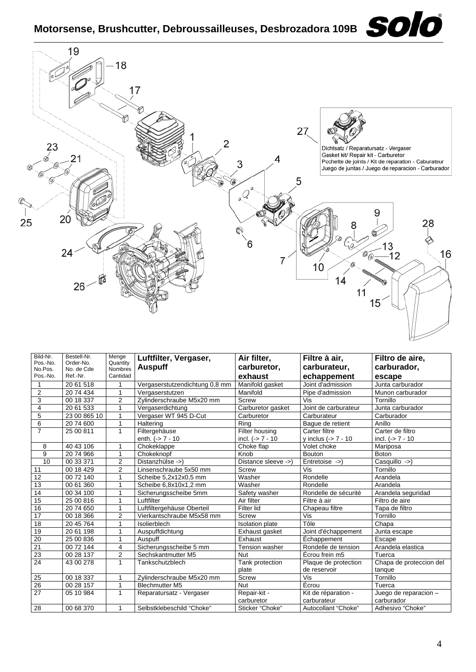

| Bild-Nr.            | Bestell-Nr.             | Menge               | Luftfilter, Vergaser,          | Air filter,                | Filtre à air,                      | Filtro de aire,                     |
|---------------------|-------------------------|---------------------|--------------------------------|----------------------------|------------------------------------|-------------------------------------|
| Pos.-No.<br>No.Pos. | Order-No.<br>No. de Cde | Quantity<br>Nombres | <b>Auspuff</b>                 | carburetor,                | carburateur,                       | carburador,                         |
| Pos.-No.            | Ref.-Nr.                | Cantidad            |                                | exhaust                    | echappement                        | escape                              |
|                     | 20 61 518               |                     | Vergaserstutzendichtung 0,8 mm | Manifold gasket            | Joint d'admission                  | Junta carburador                    |
| $\overline{2}$      | 20 74 434               | 1                   | Vergaserstutzen                | Manifold                   | Pipe d'admission                   | Munon carburador                    |
| 3                   | 00 18 337               | 2                   | Zvlinderschraube M5x20 mm      | <b>Screw</b>               | Vis                                | Tornillo                            |
| 4                   | 20 61 533               | 1                   | Vergaserdichtung               | Carburetor gasket          | Joint de carburateur               | Junta carburador                    |
| 5                   | 23 00 865 10            |                     | Vergaser WT 945 D-Cut          | Carburetor                 | Carburateur                        | Carburador                          |
| 6                   | 20 74 600               | 1                   | Haltering                      | Rina                       | Bague de retient                   | Anillo                              |
| $\overline{7}$      | 25 00 811               | 1                   | Filtergehäuse                  | Filter housing             | Carter filtre                      | Carter de filtro                    |
|                     |                         |                     | enth. $(-57 - 10)$             | incl. $(-57 - 10)$         | y inclus $(-27 - 10$               | incl. $(-57 - 10)$                  |
| 8                   | 40 43 106               | 1                   | Chokeklappe                    | Choke flap                 | Volet choke                        | Mariposa                            |
| 9                   | 20 74 966               | 1                   | Chokeknopf                     | Knob                       | <b>Bouton</b>                      | <b>Boton</b>                        |
| 10                  | 00 33 371               | 2                   | Distanzhülse ->)               | Distance sleeve ->)        | Entretoise ->)                     | Casquillo ->)                       |
| 11                  | $\overline{00}$ 18 429  | 2                   | Linsenschraube 5x50 mm         | Screw                      | Vis                                | Tornillo                            |
| 12                  | 00 72 140               | 1                   | Scheibe 5,2x12x0,5 mm          | Washer                     | Rondelle                           | Arandela                            |
| 13                  | 00 61 360               |                     | Scheibe 6,8x10x1,2 mm          | Washer                     | Rondelle                           | Arandela                            |
| 14                  | 00 34 100               |                     | Sicherungsscheibe 5mm          | Safety washer              | Rondelle de sécurité               | Arandela seguridad                  |
| 15                  | 25 00 816               | 1                   | Luftfilter                     | Air filter                 | Filtre à air                       | Filtro de aire                      |
| 16                  | 20 74 650               | 1                   | Luftfiltergehäuse Oberteil     | Filter lid                 | Chapeau filtre                     | Tapa de filtro                      |
| 17                  | 00 18 366               | $\overline{2}$      | Vierkantschraube M5x58 mm      | Screw                      | Vis                                | Tornillo                            |
| 18                  | 20 45 764               | 1                   | Isolierblech                   | <b>Isolation plate</b>     | Tôle                               | Chapa                               |
| 19                  | 20 61 198               |                     | Auspuffdichtung                | Exhaust gasket             | Joint d'échappement                | Junta escape                        |
| 20                  | 25 00 836               | 1                   | Auspuff                        | Exhaust                    | Échappement                        | Escape                              |
| $\overline{21}$     | 00 72 144               | 4                   | Sicherungsscheibe 5 mm         | <b>Tension washer</b>      | Rondelle de tension                | Arandela elastica                   |
| $\overline{23}$     | 00 28 137               | 2                   | Sechskantmutter M5             | Nut                        | Écrou frein m5                     | Tuerca                              |
| $\overline{24}$     | 43 00 278               | 1                   | Tankschutzblech                | Tank protection            | Plaque de protection               | Chapa de proteccion del             |
|                     |                         |                     |                                | plate                      | de reservoir                       | tanque                              |
| 25                  | 00 18 337               | 1                   | Zylinderschraube M5x20 mm      | Screw                      | $\overline{\text{Vis}}$            | Tornillo                            |
| 26                  | 00 28 157               | 1                   | <b>Blechmutter M5</b>          | Nut                        | Écrou                              | Tuerca                              |
| 27                  | 05 10 984               | 1                   | Reparatursatz - Vergaser       | Repair-kit -<br>carburetor | Kit de réparation -<br>carburateur | Juego de reparacion -<br>carburador |
| 28                  | 00 68 370               |                     | Selbstklebeschild "Choke"      | Sticker "Choke"            | Autocollant "Choke"                | Adhesivo "Choke"                    |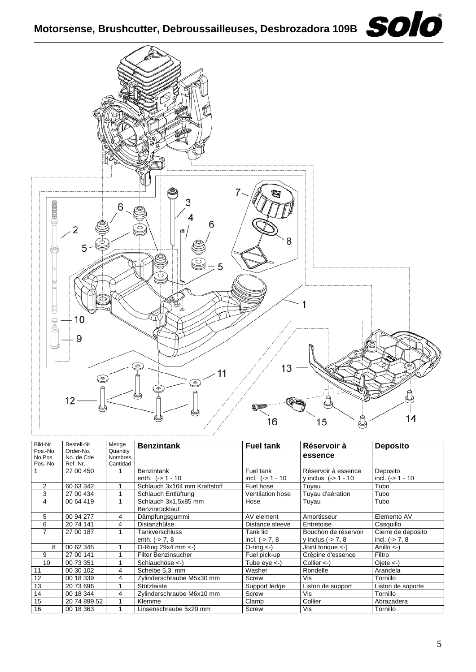

| Bild-Nr.            | Bestell-Nr.             | Menge                      | <b>Benzintank</b>                      | <b>Fuel tank</b>   | Réservoir à           | <b>Deposito</b>       |
|---------------------|-------------------------|----------------------------|----------------------------------------|--------------------|-----------------------|-----------------------|
| Pos.-No.<br>No.Pos. | Order-No.<br>No. de Cde | Quantity<br><b>Nombres</b> |                                        |                    | essence               |                       |
| Pos.-No.            | Ref.-Nr.                | Cantidad                   |                                        |                    |                       |                       |
|                     | 27 00 450               |                            | <b>Benzintank</b>                      | Fuel tank          | Réservoir à essence   | Deposito              |
|                     |                         |                            | enth. $(-) 1 - 10$                     | incl. $(-51 - 10)$ | y inclus $(-51 - 10$  | incl. $(-51 - 10)$    |
| 2                   | 60 63 342               |                            | Schlauch 3x164 mm Kraftstoff           | Fuel hose          | Tuyau                 | Tubo                  |
| 3                   | 27 00 434               |                            | Schlauch Entlüftung                    | Ventilation hose   | Tuyau d'aération      | Tubo                  |
| 4                   | 00 64 419               |                            | Schlauch 3x1.5x85 mm<br>Benzinrücklauf | Hose               | Tuyau                 | Tubo                  |
| 5                   | 00 94 277               | 4                          | Dämpfungsgummi                         | AV element         | Amortisseur           | Elemento AV           |
| 6                   | 20 74 141               | 4                          | Distanzhülse                           | Distance sleeve    | Entretoise            | Casquillo             |
| 7                   | 27 00 187               |                            | Tankverschluss                         | Tank lid           | Bouchon de réservoir  | Cierre de deposito    |
|                     |                         |                            | enth. $(-) 7, 8$                       | incl. $(-5)$ 7, 8  | y inclus $(-5, 7, 8)$ | incl. $(-5)$ 7, 8     |
| 8                   | 00 62 345               |                            | O-Ring $29x4$ mm $\leftarrow$ )        | $O$ -ring $\lt$ -) | Joint torique <- )    | Anillo $\leftarrow$ ) |
| 9                   | 27 00 141               |                            | <b>Filter Benzinsucher</b>             | Fuel pick-up       | Crépine d'essence     | Filtro                |
| 10                  | 00 73 351               |                            | Schlauchöse <-)                        | Tube $eye < -$ )   | Collier $\lt$ -)      | Oiete <)              |
| 11                  | 00 30 102               | 4                          | Scheibe 5.3 mm                         | Washer             | Rondelle              | Arandela              |
| 12                  | 00 18 339               | 4                          | Zylinderschraube M5x30 mm              | Screw              | Vis                   | Tornillo              |
| 13                  | 20 73 696               |                            | Stützleiste                            | Support ledge      | Liston de support     | Liston de soporte     |
| 14                  | 00 18 344               | 4                          | Zylinderschraube M6x10 mm              | Screw              | Vis                   | Tornillo              |
| 15                  | 20 74 899 52            |                            | Klemme                                 | Clamp              | Collier               | Abrazadera            |
| 16                  | 00 18 363               |                            | Linsenschraube 5x20 mm                 | Screw              | Vis                   | Tornillo              |

 $\bigg)$  16

 $15$ 

Ô

 $14$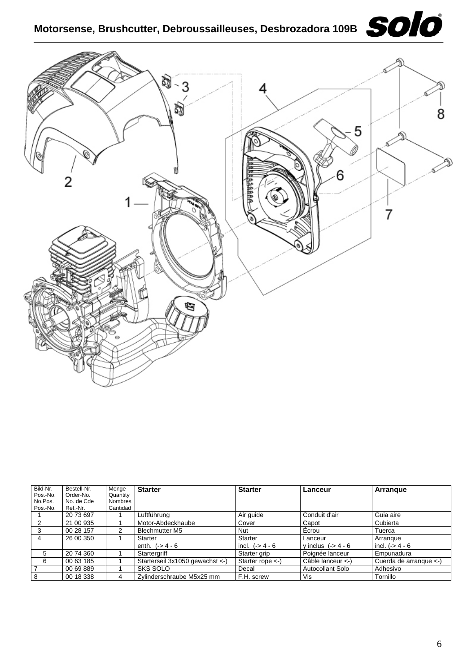## **Motorsense, Brushcutter, Debroussailleuses, Desbrozadora 109B**





| Bild-Nr.       | Bestell-Nr. | Menge    | <b>Starter</b>                   | <b>Starter</b>              | Lanceur             | Arrangue                          |
|----------------|-------------|----------|----------------------------------|-----------------------------|---------------------|-----------------------------------|
| Pos.-No.       | Order-No.   | Quantity |                                  |                             |                     |                                   |
| No.Pos.        | No. de Cde  | Nombres  |                                  |                             |                     |                                   |
| Pos.-No.       | Ref.-Nr.    | Cantidad |                                  |                             |                     |                                   |
|                | 20 73 697   |          | Luftführung                      | Air quide                   | Conduit d'air       | Guia aire                         |
|                | 21 00 935   |          | Motor-Abdeckhaube                | Cover                       | Capot               | Cubierta                          |
|                | 00 28 157   |          | <b>Blechmutter M5</b>            | Nut                         | Écrou               | Tuerca                            |
| 4              | 26 00 350   |          | Starter                          | Starter                     | Lanceur             | Arrangue                          |
|                |             |          | enth. $(-) 4 - 6$                | incl. $(-) 4 - 6$           | y inclus $(-54 - 6$ | incl. $(-54 - 6)$                 |
| 5              | 20 74 360   |          | Startergriff                     | Starter grip                | Poignée lanceur     | Empunadura                        |
| 6              | 00 63 185   |          | Starterseil 3x1050 gewachst <- ) | Starter rope $\leftarrow$ ) | Câble lanceur <-)   | Cuerda de arrangue $\leftarrow$ ) |
| $\overline{7}$ | 00 69 889   |          | SKS SOLO                         | Decal                       | Autocollant Solo    | Adhesivo                          |
| 8              | 00 18 338   | 4        | Zylinderschraube M5x25 mm        | F.H. screw                  | Vis                 | Tornillo                          |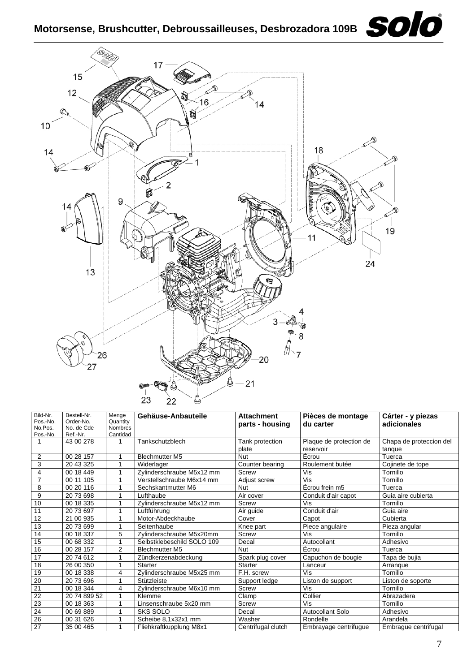

| Bild-Nr.        | Bestell-Nr.  | Menge          | Gehäuse-Anbauteile         | <b>Attachment</b>  | Pièces de montage       | Cárter - y piezas       |  |
|-----------------|--------------|----------------|----------------------------|--------------------|-------------------------|-------------------------|--|
| Pos.-No.        | Order-No.    | Quantity       |                            | parts - housing    | du carter               | adicionales             |  |
| No.Pos.         | No. de Cde   | Nombres        |                            |                    |                         |                         |  |
| Pos.-No.        | Ref.-Nr.     | Cantidad       |                            |                    |                         |                         |  |
|                 | 43 00 278    | 1              | Tankschutzblech            | Tank protection    | Plaque de protection de | Chapa de proteccion del |  |
|                 |              |                |                            | plate              | reservoir               | tangue                  |  |
| $\overline{2}$  | 00 28 157    |                | <b>Blechmutter M5</b>      | Nut                | Écrou                   | Tuerca                  |  |
| 3               | 20 43 325    |                | Widerlager                 | Counter bearing    | Roulement butée         | Cojinete de tope        |  |
| 4               | 00 18 449    |                | Zylinderschraube M5x12 mm  | Screw              | Vis                     | Tornillo                |  |
| $\overline{7}$  | 00 11 105    |                | Verstellschraube M6x14 mm  | Adjust screw       | Vis                     | Tornillo                |  |
| 8               | 00 20 116    |                | Sechskantmutter M6         | <b>Nut</b>         | Ecrou frein m5          | Tuerca                  |  |
| 9               | 2073698      |                | Lufthaube                  | Air cover          | Conduit d'air capot     | Guia aire cubierta      |  |
| 10              | 00 18 335    |                | Zylinderschraube M5x12 mm  | Screw              | Vis                     | Tornillo                |  |
| 11              | 2073697      |                | Luftführung                | Air guide          | Conduit d'air           | Guia aire               |  |
| 12              | 21 00 935    |                | Motor-Abdeckhaube          | Cover              | Capot                   | Cubierta                |  |
| 13              | 2073699      |                | Seitenhaube                | Knee part          | Piece angulaire         | Pieza angular           |  |
| 14              | 00 18 337    | 5              | Zylinderschraube M5x20mm   | <b>Screw</b>       | Vis                     | Tornillo                |  |
| 15              | 00 68 332    |                | Selbstklebeschild SOLO 109 | Decal              | Autocollant             | Adhesivo                |  |
| 16              | 00 28 157    | $\overline{2}$ | <b>Blechmutter M5</b>      | <b>Nut</b>         | Écrou                   | Tuerca                  |  |
| 17              | 2074612      |                | Zündkerzenabdeckung        | Spark plug cover   | Capuchon de bougie      | Tapa de bujia           |  |
| 18              | 26 00 350    |                | Starter                    | <b>Starter</b>     | Lanceur                 | Arranque                |  |
| 19              | 00 18 338    | 4              | Zylinderschraube M5x25 mm  | F.H. screw         | Vis                     | Tornillo                |  |
| 20              | 20 73 696    |                | Stützleiste                | Support ledge      | Liston de support       | Liston de soporte       |  |
| $\overline{21}$ | 00 18 344    | 4              | Zylinderschraube M6x10 mm  | Screw              | Vis                     | Tornillo                |  |
| 22              | 20 74 899 52 | 1              | Klemme                     | Clamp              | Collier                 | Abrazadera              |  |
| 23              | 00 18 363    |                | Linsenschraube 5x20 mm     | Screw              | Vis                     | Tornillo                |  |
| 24              | 00 69 889    |                | SKS SOLO                   | Decal              | <b>Autocollant Solo</b> | Adhesivo                |  |
| 26              | 00 31 626    |                | Scheibe 8,1x32x1 mm        | Washer             | Rondelle                | Arandela                |  |
| 27              | 35 00 465    |                | Fliehkraftkupplung M8x1    | Centrifugal clutch | Embrayage centrifugue   | Embrague centrifugal    |  |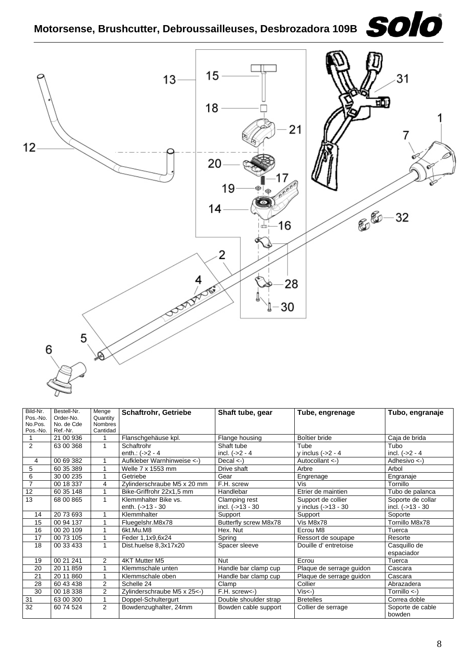

| Bild-Nr.       | Bestell-Nr. | Menge                      | <b>Schaftrohr, Getriebe</b> | Shaft tube, gear      | Tube, engrenage          | Tubo, engranaje         |  |
|----------------|-------------|----------------------------|-----------------------------|-----------------------|--------------------------|-------------------------|--|
| Pos.-No.       | Order-No.   | Quantity                   |                             |                       |                          |                         |  |
| No.Pos.        | No. de Cde  | <b>Nombres</b><br>Cantidad |                             |                       |                          |                         |  |
| Pos.-No.       | Ref.-Nr.    |                            |                             |                       |                          |                         |  |
|                | 21 00 936   |                            | Flanschgehäuse kpl.         | Flange housing        | Boîtier bride            | Caja de brida           |  |
| $\overline{2}$ | 63 00 368   | 1                          | Schaftrohr                  | Shaft tube            | Tube                     | Tubo                    |  |
|                |             |                            | enth.: $(-2 - 4)$           | incl. $(-2 - 4)$      | y inclus $(-2 - 4)$      | incl. $(-2 - 4)$        |  |
| 4              | 00 69 382   |                            | Aufkleber Warnhinweise <-)  | Decal <)              | Autocollant <- )         | Adhesivo $\leftarrow$ ) |  |
| 5              | 60 35 389   | 1                          | Welle 7 x 1553 mm           | Drive shaft           | Arbre                    | Arbol                   |  |
| 6              | 30 00 235   | 1                          | Getriebe                    | Gear                  | Engrenage                | Engranaje               |  |
| $\overline{7}$ | 00 18 337   | 4                          | Zylinderschraube M5 x 20 mm | F.H. screw            | Vis                      | Tornillo                |  |
| 12             | 60 35 148   |                            | Bike-Griffrohr 22x1,5 mm    | Handlebar             | Etrier de maintien       | Tubo de palanca         |  |
| 13             | 68 00 865   | 1                          | Klemmhalter Bike vs.        | Clamping rest         | Support de collier       | Soporte de collar       |  |
|                |             |                            | enth. (->13 - 30            | incl. $(-513 - 30)$   | y inclus $(-13 - 30)$    | incl. (->13 - 30        |  |
| 14             | 20 73 693   |                            | Klemmhalter                 | Support               | Support                  | Soporte                 |  |
| 15             | 00 94 137   |                            | Fluegelshr.M8x78            | Butterfly screw M8x78 | Vis M8x78                | Tornillo M8x78          |  |
| 16             | 00 20 109   | 4                          | 6kt.Mu.M8                   | Hex. Nut              | Ecrou M8                 | Tuerca                  |  |
| 17             | 00 73 105   |                            | Feder 1,1x9,6x24            | Spring                | Ressort de soupape       | Resorte                 |  |
| 18             | 00 33 433   | 1                          | Dist.huelse 8,3x17x20       | Spacer sleeve         | Douille d'entretoise     | Casquillo de            |  |
|                |             |                            |                             |                       |                          | espaciador              |  |
| 19             | 00 21 241   | $\overline{2}$             | 4KT Mutter M5               | <b>Nut</b>            | Ecrou                    | Tuerca                  |  |
| 20             | 20 11 859   | 1                          | Klemmschale unten           | Handle bar clamp cup  | Plaque de serrage guidon | Cascara                 |  |
| 21             | 20 11 860   | 1                          | Klemmschale oben            | Handle bar clamp cup  | Plaque de serrage guidon | Cascara                 |  |
| 28             | 60 43 438   | $\overline{2}$             | Schelle 24                  | Clamp                 | Collier                  | Abrazadera              |  |
| 30             | 00 18 338   | $\overline{2}$             | Zylinderschraube M5 x 25<-) | F.H. screw<-)         | $Vis < -$ )              | Tornillo $\lt$ -)       |  |
| 31             | 63 00 300   | 1                          | Doppel-Schultergurt         | Double shoulder strap | <b>Bretelles</b>         | Correa doble            |  |
| 32             | 60 74 524   | $\overline{2}$             | Bowdenzughalter, 24mm       | Bowden cable support  | Collier de serrage       | Soporte de cable        |  |
|                |             |                            |                             |                       |                          | bowden                  |  |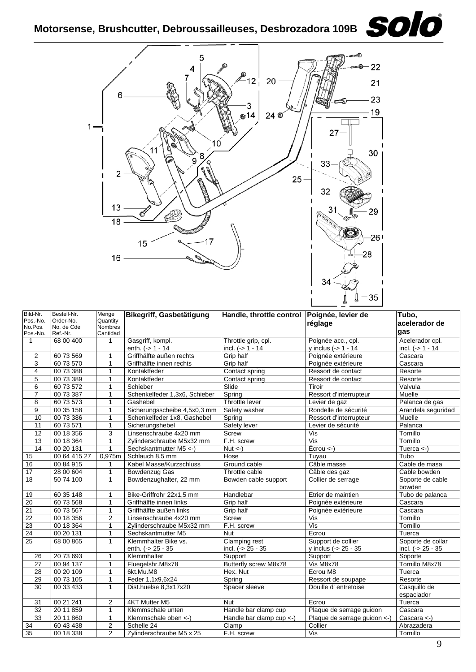

| Bild-Nr.<br>Pos.-No.<br>No.Pos.<br>Pos.-No. | Bestell-Nr.<br>Order-No.<br>No. de Cde<br>Ref.-Nr. | Menge<br>Quantity<br><b>Nombres</b><br>Cantidad | Bikegriff, Gasbetätigung                   | Handle, throttle control            | Poignée, levier de<br>réglage              | Tubo.<br>acelerador de<br>qas           |
|---------------------------------------------|----------------------------------------------------|-------------------------------------------------|--------------------------------------------|-------------------------------------|--------------------------------------------|-----------------------------------------|
| $\mathbf{1}$                                | 68 00 400                                          | 1                                               | Gasgriff, kompl.                           | Throttle grip, cpl.                 | Poignée acc., cpl.                         | Acelerador cpl.                         |
|                                             |                                                    |                                                 | enth. (-> 1 - 14                           | incl. $(- > 1 - 14)$                | y inclus $(-) 1 - 14$                      | incl. $(-> 1 - 14)$                     |
| $\overline{2}$                              | 60 73 569                                          | $\mathbf{1}$                                    | Griffhälfte außen rechts                   | Grip half                           | Poignée extérieure                         | Cascara                                 |
| 3                                           | 60 73 570                                          | $\mathbf{1}$                                    | Griffhälfte innen rechts                   | Grip half                           | Poignée extérieure                         | Cascara                                 |
| 4                                           | 00 73 388                                          | $\mathbf{1}$                                    | Kontaktfeder                               | Contact spring                      | Ressort de contact                         | Resorte                                 |
| 5                                           | 00 73 389                                          | 1                                               | Kontaktfeder                               | Contact spring                      | Ressort de contact                         | Resorte                                 |
| 6                                           | 60 73 572                                          | $\mathbf{1}$                                    | Schieber                                   | Slide                               | Tiroir                                     | Valvula                                 |
| 7                                           | 00 73 387                                          | 1                                               | Schenkelfeder 1,3x6, Schieber              | Spring                              | Ressort d'interrupteur                     | Muelle                                  |
| 8                                           | 60 73 573                                          | $\mathbf{1}$                                    | Gashebel                                   | Throttle lever                      | Levier de gaz                              | Palanca de gas                          |
| 9                                           | 00 35 158                                          | 1                                               | Sicherungsscheibe 4,5x0,3 mm               | Safety washer                       | Rondelle de sécurité                       | Arandela seguridad                      |
| 10                                          | 00 73 386                                          | $\mathbf{1}$                                    | Schenkelfeder 1x8, Gashebel                | Spring                              | Ressort d'interrupteur                     | Muelle                                  |
| 11                                          | 60 73 571                                          | $\mathbf{1}$                                    | Sicherungshebel                            | Safety lever                        | Levier de sécurité                         | Palanca                                 |
| 12                                          | 00 18 356                                          | 3                                               | Linsenschraube 4x20 mm                     | Screw                               | Vis                                        | Tornillo                                |
| $\overline{13}$                             | 00 18 364                                          | $\mathbf{1}$                                    | Zylinderschraube M5x32 mm                  | F.H. screw                          | Vis                                        | Tornillo                                |
| $\overline{14}$                             | 00 20 131                                          | $\mathbf{1}$                                    | Sechskantmutter M5 <- )                    | $\overline{Nut}$ <-)                | $\overline{E}$ crou <-)                    | Tuerca $\left\langle -\right\rangle$    |
| 15                                          | 00 64 415 27                                       | 0,975m                                          | Schlauch 8,5 mm                            | Hose                                | Tuyau                                      | Tubo                                    |
| 16                                          | 00 84 915                                          | 1                                               | Kabel Masse/Kurzschluss                    | Ground cable                        | Câble masse                                | Cable de masa                           |
| $\overline{17}$                             | 28 00 604                                          | 1                                               | Bowdenzug Gas                              | Throttle cable                      | Câble des gaz                              | Cable bowden                            |
| 18                                          | 50 74 100                                          | $\mathbf{1}$                                    | Bowdenzughalter, 22 mm                     | Bowden cable support                | Collier de serrage                         | Soporte de cable<br>bowden              |
| 19                                          | 60 35 148                                          | 1                                               | Bike-Griffrohr 22x1,5 mm                   | Handlebar                           | Etrier de maintien                         | Tubo de palanca                         |
| 20                                          | 60 73 568                                          | $\mathbf{1}$                                    | Griffhälfte innen links                    | Grip half                           | Poignée extérieure                         | Cascara                                 |
| $\overline{21}$                             | 60 73 567                                          | $\mathbf{1}$                                    | Griffhälfte außen links                    | Grip half                           | Poignée extérieure                         | Cascara                                 |
| 22                                          | 00 18 356                                          | $\overline{2}$                                  | Linsenschraube 4x20 mm                     | Screw                               | Vis                                        | Tornillo                                |
| 23                                          | 00 18 364                                          | 1                                               | Zvlinderschraube M5x32 mm                  | F.H. screw                          | $\overline{\mathsf{Vis}}$                  | Tornillo                                |
| $\overline{24}$                             | 00 20 131                                          | $\mathbf{1}$                                    | Sechskantmutter M5                         | Nut                                 | Ecrou                                      | Tuerca                                  |
| $\overline{25}$                             | 68 00 865                                          | $\mathbf{1}$                                    | Klemmhalter Bike vs.<br>enth. $(-25 - 35)$ | Clamping rest<br>incl. $(-25 - 35)$ | Support de collier<br>y inclus (-> 25 - 35 | Soporte de collar<br>incl. $(-25 - 35)$ |
| 26                                          | 20 73 693                                          | $\mathbf{1}$                                    | Klemmhalter                                | Support                             | Support                                    | Soporte                                 |
| 27                                          | 00 94 137                                          | $\mathbf{1}$                                    | Fluegelshr.M8x78                           | Butterfly screw M8x78               | Vis M8x78                                  | Tornillo M8x78                          |
| 28                                          | 00 20 109                                          | $\mathbf{1}$                                    | 6kt.Mu.M8                                  | Hex. Nut                            | Ecrou M8                                   | Tuerca                                  |
| 29                                          | 00 73 105                                          | $\mathbf{1}$                                    | Feder 1, 1x9, 6x24                         | Spring                              | Ressort de soupape                         | Resorte                                 |
| 30                                          | 00 33 433                                          | $\mathbf{1}$                                    | Dist.huelse 8,3x17x20                      | Spacer sleeve                       | Douille d'entretoise                       | Casquillo de                            |
|                                             |                                                    |                                                 |                                            |                                     |                                            | espaciador                              |
| 31                                          | 00 21 241                                          | 2                                               | 4KT Mutter M5                              | Nut                                 | Ecrou                                      | Tuerca                                  |
| 32                                          | 20 11 859                                          | $\mathbf{1}$                                    | Klemmschale unten                          | Handle bar clamp cup                | Plaque de serrage guidon                   | Cascara                                 |
| 33                                          | 20 11 860                                          | $\mathbf{1}$                                    | Klemmschale oben <- )                      | Handle bar clamp $cup <$ )          | Plaque de serrage guidon <-)               | Cascara $\lt$ -)                        |
| 34                                          | 60 43 438                                          | $\mathbf 2$                                     | Schelle 24                                 | Clamp                               | Collier                                    | Abrazadera                              |
| $\overline{35}$                             | 00 18 338                                          | $\overline{2}$                                  | Zylinderschraube M5 x 25                   | F.H. screw                          | $\overline{\mathsf{Vis}}$                  | Tornillo                                |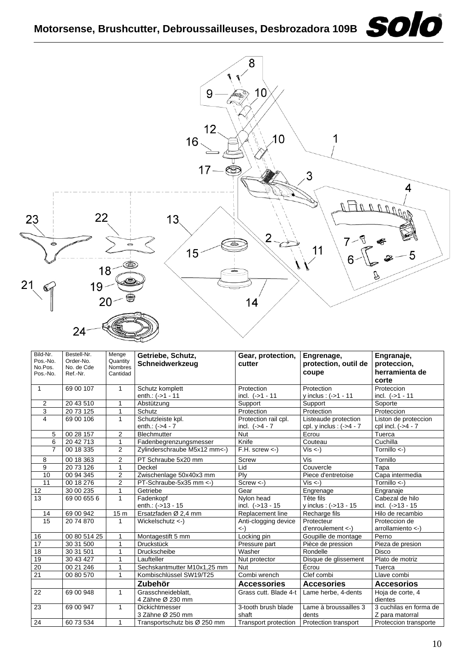### Motorsense, Brushcutter, Debroussailleuses, Desbrozadora 109B<br> **SOIO**



| Bild-Nr.<br>Pos.-No. | Bestell-Nr.<br>Order-No. | Menge               | Getriebe, Schutz,            | Gear, protection,             | Engrenage,                  | Engranaje,              |
|----------------------|--------------------------|---------------------|------------------------------|-------------------------------|-----------------------------|-------------------------|
| No.Pos.              | No. de Cde               | Quantity<br>Nombres | Schneidwerkzeug              | cutter                        | protection, outil de        | proteccion,             |
| Pos.-No.             | Ref.-Nr.                 | Cantidad            |                              |                               | coupe                       | herramienta de          |
|                      |                          |                     |                              |                               |                             | corte                   |
| $\mathbf{1}$         | 69 00 107                | $\mathbf{1}$        | Schutz komplett              | Protection                    | Protection                  | Proteccion              |
|                      |                          |                     | enth.: (->1 - 11             | incl. $(-51 - 11)$            | y inclus : $(-51 - 11)$     | incl. $(-51 - 11)$      |
| 2                    | 20 43 510                | 1                   | Abstützung                   | Support                       | Support                     | Soporte                 |
| 3                    | 20 73 125                | 1                   | Schutz                       | Protection                    | Protection                  | Proteccion              |
| $\overline{4}$       | 69 00 106                | $\mathbf{1}$        | Schutzleiste kpl.            | Protection rail cpl.          | Listeaude protection        | Liston de proteccion    |
|                      |                          |                     | enth.: $(-54 - 7)$           | incl. $(-54 - 7)$             | cpl. y inclus : $(-24 - 7)$ | cpl incl. $(-54 - 7)$   |
| 5                    | 00 28 157                | $\overline{2}$      | <b>Blechmutter</b>           | <b>Nut</b>                    | Ecrou                       | Tuerca                  |
| 6                    | 20 42 713                | 1                   | Fadenbegrenzungsmesser       | Knife                         | Couteau                     | Cuchilla                |
| $\overline{7}$       | 00 18 335                | 2                   | Zylinderschraube M5x12 mm<-) | $F.H.$ screw $\lt$ -)         | $Vis < -$ )                 | Tornillo $\leftarrow$ ) |
| 8                    | 00 18 363                | 2                   | PT Schraube 5x20 mm          | <b>Screw</b>                  | Vis                         | Tornillo                |
| 9                    | 20 73 126                | $\mathbf{1}$        | Deckel                       | Lid                           | Couvercle                   | Tapa                    |
| 10                   | 00 94 345                | $\overline{2}$      | Zwischenlage 50x40x3 mm      | Plv                           | Piece d'entretoise          | Capa intermedia         |
| 11                   | 00 18 276                | $\overline{2}$      | PT-Schraube-5x35 mm <- )     | $Screw < -$                   | $Vis < -$ )                 | Tornillo <-)            |
| 12                   | 30 00 235                | 1                   | Getriebe                     | Gear                          | Engrenage                   | Engranaje               |
| 13                   | 69 00 655 6              | $\mathbf{1}$        | Fadenkopf                    | Nylon head                    | Tête fils                   | Cabezal de hilo         |
|                      |                          |                     | enth.: (->13 - 15            | incl. (->13 - 15              | y inclus: (->13 - 15        | incl. $(-513 - 15)$     |
| 14                   | 69 00 942                | 15 <sub>m</sub>     | Ersatzfaden Ø 2,4 mm         | Replacement line              | Recharge fils               | Hilo de recambio        |
| 15                   | 20 74 870                | 1                   | Wickelschutz <-)             | Anti-clogging device          | Protecteur                  | Proteccion de           |
|                      |                          |                     |                              | $\left\langle -\right\rangle$ | d'enroulement <-)           | arrollamiento <)        |
| 16                   | 00 80 514 25             | 1                   | Montagestift 5 mm            | Locking pin                   | Goupille de montage         | Perno                   |
| 17                   | 3031500                  | $\mathbf{1}$        | Druckstück                   | Pressure part                 | Pièce de pression           | Pieza de presion        |
| 18                   | 30 31 501                | 1                   | Druckscheibe                 | Washer                        | Rondelle                    | Disco                   |
| 19                   | 30 43 427                | 1                   | Laufteller                   | Nut protector                 | Disque de glissement        | Plato de motriz         |
| 20                   | 00 21 246                | 1                   | Sechskantmutter M10x1,25 mm  | <b>Nut</b>                    | Écrou                       | Tuerca                  |
| 21                   | 00 80 570                | 1                   | Kombischlüssel SW19/T25      | Combi wrench                  | Clef combi                  | Llave combi             |
|                      |                          |                     | Zubehör                      | <b>Accessories</b>            | <b>Accesories</b>           | <b>Accesorios</b>       |
| 22                   | 69 00 948                | 1                   | Grasschneideblatt,           | Grass cutt. Blade 4-t         | Lame herbe, 4-dents         | Hoja de corte, 4        |
|                      |                          |                     | 4 Zähne Ø 230 mm             |                               |                             | dientes                 |
| 23                   | 69 00 947                | 1                   | Dickichtmesser               | 3-tooth brush blade           | Lame à broussailles 3       | 3 cuchilas en forma de  |
|                      |                          |                     | 3 Zähne Ø 250 mm             | shaft                         | dents                       | Z para matorral         |
| 24                   | 60 73 534                | 1                   | Transportschutz bis Ø 250 mm | Transport protection          | Protection transport        | Proteccion transporte   |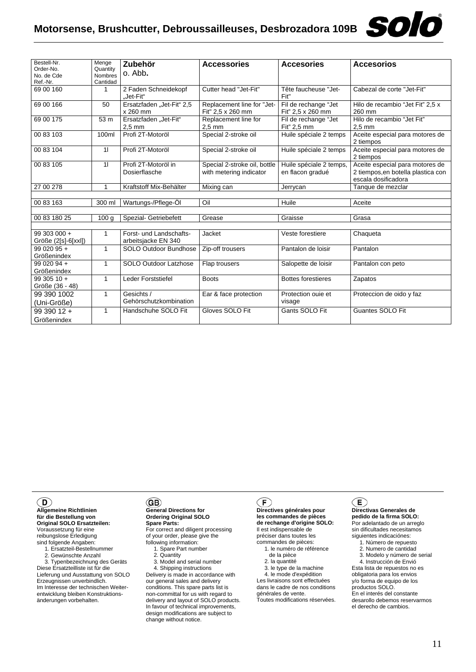#### **Motorsense, Brushcutter, Debroussailleuses, Desbrozadora 109B**



| Bestell-Nr.<br>Order-No.<br>No. de Cde | Menge<br>Quantity<br>Nombres | Zubehör<br>o. Abb.                             | <b>Accessories</b>                                      | <b>Accesories</b>                           | <b>Accesorios</b>                                                                            |
|----------------------------------------|------------------------------|------------------------------------------------|---------------------------------------------------------|---------------------------------------------|----------------------------------------------------------------------------------------------|
| Ref.-Nr.<br>69 00 160                  | Cantidad<br>$\mathbf{1}$     | 2 Faden Schneidekopf<br>Jet-Fit"               | Cutter head "Jet-Fit"                                   | Tête faucheuse "Jet-<br>Fit"                | Cabezal de corte "Jet-Fit"                                                                   |
| 69 00 166                              | 50                           | Ersatzfaden "Jet-Fit" 2,5<br>x 260 mm          | Replacement line for "Jet-<br>Fit" 2,5 x 260 mm         | Fil de rechange "Jet<br>Fit" 2,5 x 260 mm   | Hilo de recambio "Jet Fit" 2,5 x<br>260 mm                                                   |
| 69 00 175                              | 53 m                         | Ersatzfaden "Jet-Fit"<br>$2.5$ mm              | Replacement line for<br>$2.5 \text{ mm}$                | Fil de rechange "Jet<br>Fit" 2.5 mm         | Hilo de recambio "Jet Fit"<br>$2.5 \text{ mm}$                                               |
| 00 83 103                              | 100ml                        | Profi 2T-Motoröl                               | Special 2-stroke oil                                    | Huile spéciale 2 temps                      | Aceite especial para motores de<br>2 tiempos                                                 |
| 00 83 104                              | 11                           | Profi 2T-Motoröl                               | Special 2-stroke oil                                    | Huile spéciale 2 temps                      | Aceite especial para motores de<br>2 tiempos                                                 |
| 00 83 105                              | 11                           | Profi 2T-Motoröl in<br>Dosierflasche           | Special 2-stroke oil, bottle<br>with metering indicator | Huile spéciale 2 temps.<br>en flacon gradué | Aceite especial para motores de<br>2 tiempos, en botella plastica con<br>escala dosificadora |
| 27 00 278                              | 1                            | Kraftstoff Mix-Behälter                        | Mixing can                                              | Jerrycan                                    | Tanque de mezclar                                                                            |
|                                        |                              |                                                |                                                         |                                             |                                                                                              |
| 00 83 163                              | 300 ml                       | Wartungs-/Pflege-Öl                            | Oil                                                     | Huile                                       | Aceite                                                                                       |
|                                        |                              |                                                |                                                         |                                             |                                                                                              |
| 00 83 180 25                           | 100 <sub>q</sub>             | Spezial- Getriebefett                          | Grease                                                  | Graisse                                     | Grasa                                                                                        |
| 99 303 000 +<br>Größe (2[s]-6[xxl])    | 1                            | Forst- und Landschafts-<br>arbeitsjacke EN 340 | Jacket                                                  | Veste forestiere                            | Chaqueta                                                                                     |
| $9902095 +$<br>Größenindex             | 1                            | SOLO Outdoor Bundhose                          | Zip-off trousers                                        | Pantalon de loisir                          | Pantalon                                                                                     |
| 99 020 94 +<br>Größenindex             | 1                            | <b>SOLO Outdoor Latzhose</b>                   | Flap trousers                                           | Salopette de loisir                         | Pantalon con peto                                                                            |
| $9930510 +$<br>Größe (36 - 48)         | $\mathbf{1}$                 | Leder Forststiefel                             | <b>Boots</b>                                            | <b>Bottes forestieres</b>                   | Zapatos                                                                                      |
| 99 390 1002<br>(Uni-Größe)             | 1                            | Gesichts /<br>Gehörschutzkombination           | Ear & face protection                                   | Protection ouie et<br>visage                | Proteccion de oido y faz                                                                     |
| $9939012 +$<br>Größenindex             | 1                            | Handschuhe SOLO Fit                            | Gloves SOLO Fit                                         | Gants SOLO Fit                              | Guantes SOLO Fit                                                                             |

#### $\mathbf{D}$

**Allgemeine Richtlinien für die Bestellung von Original SOLO Ersatzteilen:** Voraussetzung für eine reibungslose Erledigung sind folgende Angaben:

1. Ersatzteil-Bestellnummer

2. Gewünschte Anzahl

 3. Typenbezeichnung des Geräts Diese Ersatzteilliste ist für die Lieferung und Ausstattung von SOLO Erzeugnissen unverbindlich. Im Interesse der technischen Weiterentwicklung bleiben Konstruktionsänderungen vorbehalten.

#### GB)

#### **General Directions for Ordering Original SOLO Spare Parts:**

For correct and diligent processing of your order, please give the following information:

1. Spare Part number

2. Quantity

 3. Model and serial number 4. Shipping instructions

Delivery is made in accordance with our general sales and delivery conditions. This spare parts list is non-committal for us with regard to delivery and layout of SOLO products. In favour of technical improvements, design modifications are subject to change without notice.

### $\big($ F $\big)$

**Directives générales pour les commandes de pièces de rechange d'origine SOLO:** Il est indispensable de préciser dans toutes les commandes de pièces: 1. le numéro de référence

- de la pièce
- 2. la quantité

 3. le type de la machine 4. le mode d'expédition Les livraisons sont effectuées dans le cadre de nos conditions

générales de vente. Toutes modifications réservées.

#### Œ

**Directivas Generales de pedido de la firma SOLO:** Por adelantado de un arreglo sin dificultades necesitamos siguientes indicaciónes:

1. Número de repuesto

2. Numero de cantidad

3. Modelo y número de serial

 4. Instrucción de Envió Esta lista de repuestos no es obligatoria para los envios y/o forma de equipo de los productos SOLO. En el interés del constante desarollo debemos reservarmos el derecho de cambios.